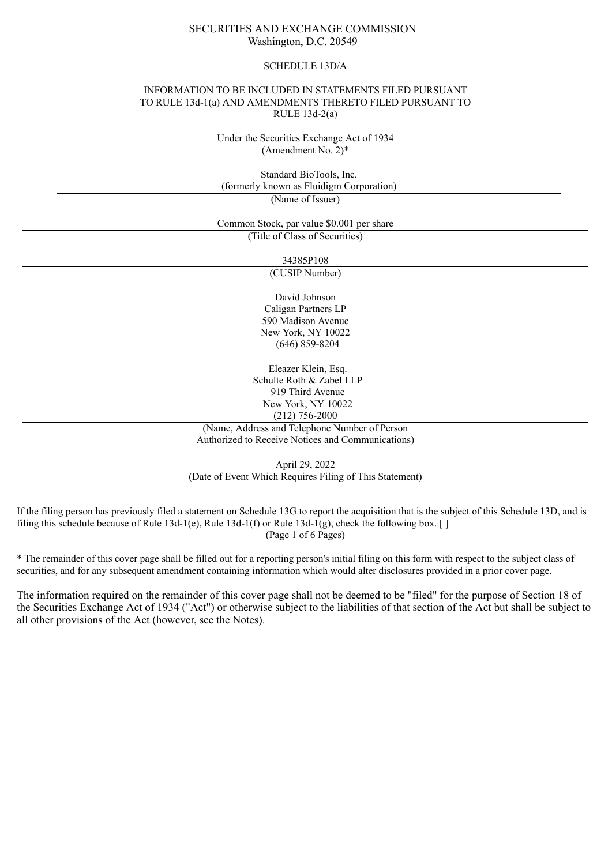### SECURITIES AND EXCHANGE COMMISSION Washington, D.C. 20549

#### SCHEDULE 13D/A

#### INFORMATION TO BE INCLUDED IN STATEMENTS FILED PURSUANT TO RULE 13d-1(a) AND AMENDMENTS THERETO FILED PURSUANT TO RULE 13d-2(a)

Under the Securities Exchange Act of 1934 (Amendment No. 2)\*

Standard BioTools, Inc. (formerly known as Fluidigm Corporation) (Name of Issuer)

Common Stock, par value \$0.001 per share (Title of Class of Securities)

34385P108

(CUSIP Number)

David Johnson Caligan Partners LP 590 Madison Avenue New York, NY 10022 (646) 859-8204

Eleazer Klein, Esq. Schulte Roth & Zabel LLP 919 Third Avenue New York, NY 10022 (212) 756-2000

(Name, Address and Telephone Number of Person Authorized to Receive Notices and Communications)

April 29, 2022

(Date of Event Which Requires Filing of This Statement)

If the filing person has previously filed a statement on Schedule 13G to report the acquisition that is the subject of this Schedule 13D, and is filing this schedule because of Rule 13d-1(e), Rule 13d-1(f) or Rule 13d-1(g), check the following box. [] (Page 1 of 6 Pages)

\* The remainder of this cover page shall be filled out for a reporting person's initial filing on this form with respect to the subject class of securities, and for any subsequent amendment containing information which would alter disclosures provided in a prior cover page.

 $\mathcal{L}_\text{max}$ 

The information required on the remainder of this cover page shall not be deemed to be "filed" for the purpose of Section 18 of the Securities Exchange Act of 1934 ("Act") or otherwise subject to the liabilities of that section of the Act but shall be subject to all other provisions of the Act (however, see the Notes).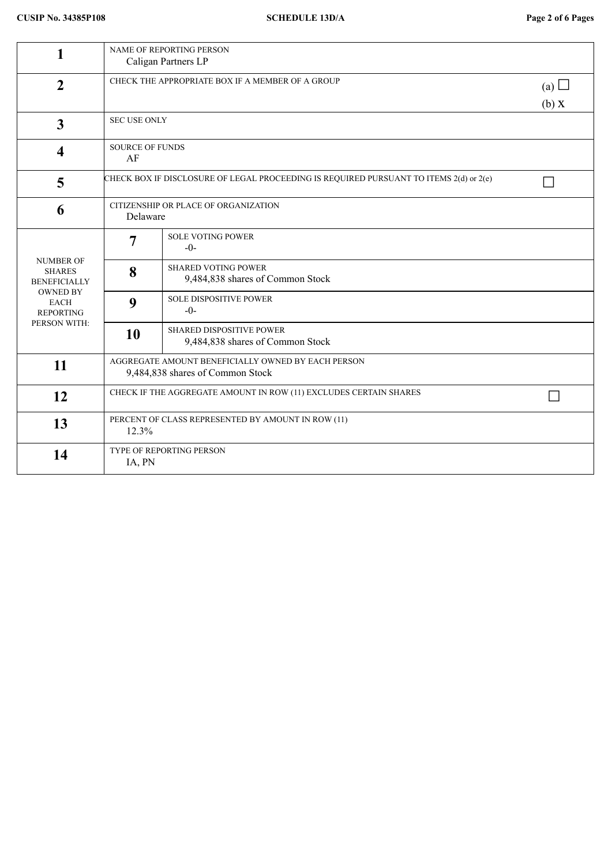| 1                                                                                                                              | NAME OF REPORTING PERSON<br>Caligan Partners LP                                                  |                                                                     |  |  |
|--------------------------------------------------------------------------------------------------------------------------------|--------------------------------------------------------------------------------------------------|---------------------------------------------------------------------|--|--|
| $\overline{2}$                                                                                                                 | CHECK THE APPROPRIATE BOX IF A MEMBER OF A GROUP                                                 | (a) $\Box$<br>(b) X                                                 |  |  |
| $\mathbf{3}$                                                                                                                   |                                                                                                  | <b>SEC USE ONLY</b>                                                 |  |  |
| $\overline{\mathbf{4}}$                                                                                                        | <b>SOURCE OF FUNDS</b><br>AF                                                                     |                                                                     |  |  |
| 5                                                                                                                              | CHECK BOX IF DISCLOSURE OF LEGAL PROCEEDING IS REQUIRED PURSUANT TO ITEMS 2(d) or 2(e)<br>$\Box$ |                                                                     |  |  |
| 6                                                                                                                              | CITIZENSHIP OR PLACE OF ORGANIZATION<br>Delaware                                                 |                                                                     |  |  |
| <b>NUMBER OF</b><br><b>SHARES</b><br><b>BENEFICIALLY</b><br><b>OWNED BY</b><br><b>EACH</b><br><b>REPORTING</b><br>PERSON WITH: | $\overline{7}$                                                                                   | <b>SOLE VOTING POWER</b><br>$-0-$                                   |  |  |
|                                                                                                                                | 8                                                                                                | <b>SHARED VOTING POWER</b><br>9,484,838 shares of Common Stock      |  |  |
|                                                                                                                                | 9                                                                                                | <b>SOLE DISPOSITIVE POWER</b><br>$-0-$                              |  |  |
|                                                                                                                                | 10                                                                                               | <b>SHARED DISPOSITIVE POWER</b><br>9,484,838 shares of Common Stock |  |  |
| 11                                                                                                                             | AGGREGATE AMOUNT BENEFICIALLY OWNED BY EACH PERSON<br>9,484,838 shares of Common Stock           |                                                                     |  |  |
| 12                                                                                                                             | CHECK IF THE AGGREGATE AMOUNT IN ROW (11) EXCLUDES CERTAIN SHARES                                |                                                                     |  |  |
| 13                                                                                                                             | PERCENT OF CLASS REPRESENTED BY AMOUNT IN ROW (11)<br>12.3%                                      |                                                                     |  |  |
| 14                                                                                                                             | TYPE OF REPORTING PERSON<br>IA, PN                                                               |                                                                     |  |  |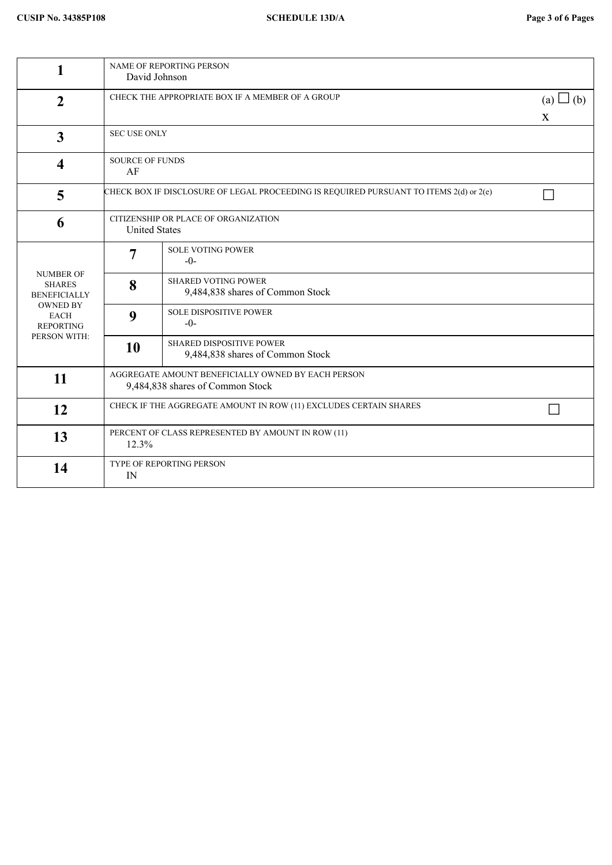| 1                                                                                                                              | NAME OF REPORTING PERSON<br>David Johnson                                              |                                                                     |  |
|--------------------------------------------------------------------------------------------------------------------------------|----------------------------------------------------------------------------------------|---------------------------------------------------------------------|--|
| $\overline{2}$                                                                                                                 | CHECK THE APPROPRIATE BOX IF A MEMBER OF A GROUP                                       |                                                                     |  |
| $\overline{3}$                                                                                                                 | <b>SEC USE ONLY</b>                                                                    |                                                                     |  |
| $\overline{\mathbf{4}}$                                                                                                        | <b>SOURCE OF FUNDS</b><br>AF                                                           |                                                                     |  |
| 5                                                                                                                              | CHECK BOX IF DISCLOSURE OF LEGAL PROCEEDING IS REQUIRED PURSUANT TO ITEMS 2(d) or 2(e) |                                                                     |  |
| 6                                                                                                                              | CITIZENSHIP OR PLACE OF ORGANIZATION<br><b>United States</b>                           |                                                                     |  |
| <b>NUMBER OF</b><br><b>SHARES</b><br><b>BENEFICIALLY</b><br><b>OWNED BY</b><br><b>EACH</b><br><b>REPORTING</b><br>PERSON WITH: | 7                                                                                      | <b>SOLE VOTING POWER</b><br>$-0-$                                   |  |
|                                                                                                                                | 8                                                                                      | <b>SHARED VOTING POWER</b><br>9,484,838 shares of Common Stock      |  |
|                                                                                                                                | 9                                                                                      | <b>SOLE DISPOSITIVE POWER</b><br>$-0-$                              |  |
|                                                                                                                                | <b>10</b>                                                                              | <b>SHARED DISPOSITIVE POWER</b><br>9,484,838 shares of Common Stock |  |
| 11                                                                                                                             | AGGREGATE AMOUNT BENEFICIALLY OWNED BY EACH PERSON<br>9,484,838 shares of Common Stock |                                                                     |  |
| 12                                                                                                                             | CHECK IF THE AGGREGATE AMOUNT IN ROW (11) EXCLUDES CERTAIN SHARES                      |                                                                     |  |
| 13                                                                                                                             | PERCENT OF CLASS REPRESENTED BY AMOUNT IN ROW (11)<br>12.3%                            |                                                                     |  |
| 14                                                                                                                             | TYPE OF REPORTING PERSON<br>IN                                                         |                                                                     |  |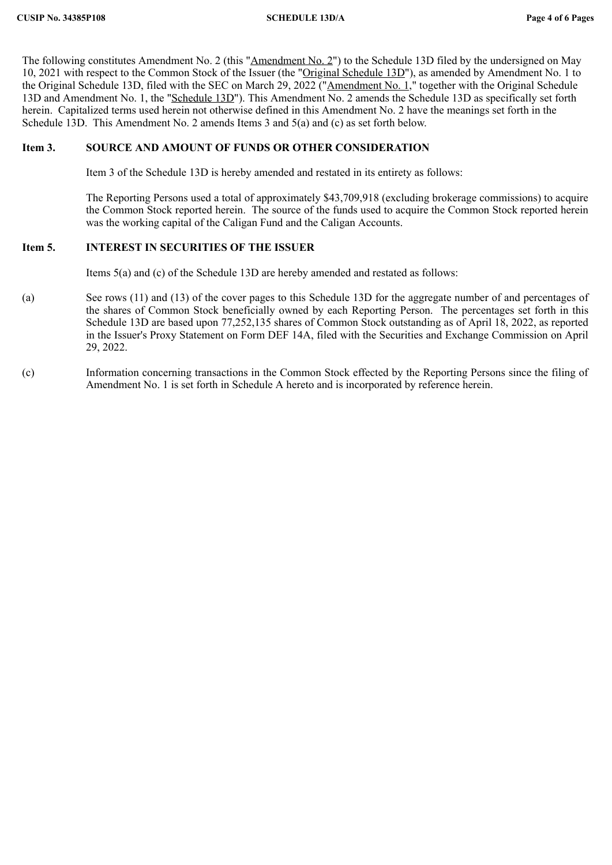The following constitutes Amendment No. 2 (this "Amendment No. 2") to the Schedule 13D filed by the undersigned on May 10, 2021 with respect to the Common Stock of the Issuer (the "Original Schedule 13D"), as amended by Amendment No. 1 to the Original Schedule 13D, filed with the SEC on March 29, 2022 ("Amendment No. 1," together with the Original Schedule 13D and Amendment No. 1, the "Schedule 13D"). This Amendment No. 2 amends the Schedule 13D as specifically set forth herein. Capitalized terms used herein not otherwise defined in this Amendment No. 2 have the meanings set forth in the Schedule 13D. This Amendment No. 2 amends Items 3 and 5(a) and (c) as set forth below.

## **Item 3. SOURCE AND AMOUNT OF FUNDS OR OTHER CONSIDERATION**

Item 3 of the Schedule 13D is hereby amended and restated in its entirety as follows:

The Reporting Persons used a total of approximately \$43,709,918 (excluding brokerage commissions) to acquire the Common Stock reported herein. The source of the funds used to acquire the Common Stock reported herein was the working capital of the Caligan Fund and the Caligan Accounts.

## **Item 5. INTEREST IN SECURITIES OF THE ISSUER**

Items 5(a) and (c) of the Schedule 13D are hereby amended and restated as follows:

- (a) See rows (11) and (13) of the cover pages to this Schedule 13D for the aggregate number of and percentages of the shares of Common Stock beneficially owned by each Reporting Person. The percentages set forth in this Schedule 13D are based upon 77,252,135 shares of Common Stock outstanding as of April 18, 2022, as reported in the Issuer's Proxy Statement on Form DEF 14A, filed with the Securities and Exchange Commission on April 29, 2022.
- (c) Information concerning transactions in the Common Stock effected by the Reporting Persons since the filing of Amendment No. 1 is set forth in Schedule A hereto and is incorporated by reference herein.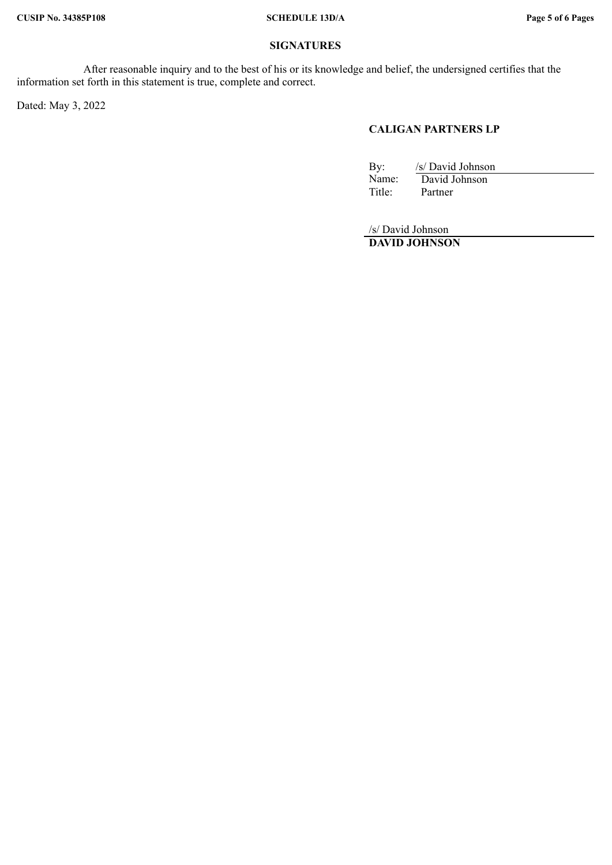# **SIGNATURES**

After reasonable inquiry and to the best of his or its knowledge and belief, the undersigned certifies that the information set forth in this statement is true, complete and correct.

Dated: May 3, 2022

## **CALIGAN PARTNERS LP**

By: /s/ David Johnson<br>Name: David Johnson Name: David Johnson<br>Title: Partner Partner

/s/ David Johnson **DAVID JOHNSON**